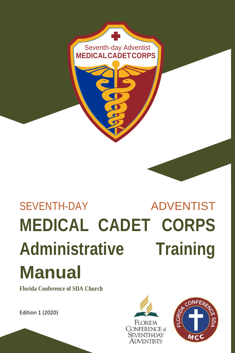

# SEVENTH-DAY ADVENTIST **MEDICAL CADET CORPS Administrative Training Manual**

**Florida Conference of SDA Church**

Edition 1 (2020)



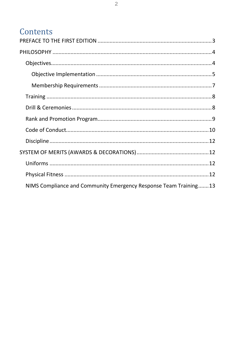#### Contents

| NIMS Compliance and Community Emergency Response Team Training13 |
|------------------------------------------------------------------|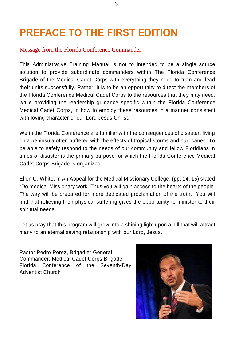# <span id="page-2-0"></span>**PREFACE TO THE FIRST EDITION**

#### Message from the Florida Conference Commander

This Administrative Training Manual is not to intended to be a single source solution to provide subordinate commanders within The Florida Conference Brigade of the Medical Cadet Corps with everything they need to train and lead their units successfully, Rather, it is to be an opportunity to direct the members of the Florida Conference Medical Cadet Corps to the resources that they may need, while providing the leadership guidance specific within the Florida Conference Medical Cadet Corps, in how to employ these resources in a manner consistent with loving character of our Lord Jesus Christ.

We in the Florida Conference are familiar with the consequences of disaster, living on a peninsula often buffeted with the effects of tropical storms and hurricanes. To be able to safely respond to the needs of our community and fellow Floridians in times of disaster is the primary purpose for which the Florida Conference Medical Cadet Corps Brigade is organized.

Ellen G. White, in An Appeal for the Medical Missionary College, (pp. 14, 15) stated "Do medical Missionary work. Thus you will gain access to the hearts of the people. The way will be prepared for more dedicated proclamation of the truth. You will find that relieving their physical suffering gives the opportunity to minister to their spiritual needs.

Let us pray that this program will grow into a shining light upon a hill that will attract many to an eternal saving relationship with our Lord, Jesus.

Pastor Pedro Perez, Brigadier General Commander, Medical Cadet Corps Brigade Florida Conference of the Seventh-Day Adventist Church

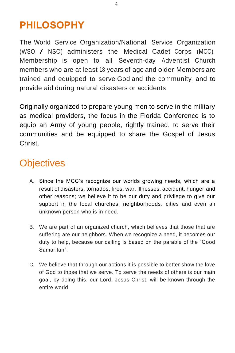#### <span id="page-3-0"></span>**PHILOSOPHY**

The World Service Organization/National Service Organization (WSO / NSO) administers the Medical Cadet Corps (MCC).. Membership is open to all Seventh-day Adventist Church members who are at least 18 years of age and older. Members are trained and equipped to serve God and the community, and to provide aid during natural disasters or accidents.

Originally organized to prepare young men to serve in the military as medical providers, the focus in the Florida Conference is to equip an Army of young people, rightly trained, to serve their communities and be equipped to share the Gospel of Jesus Christ.

## <span id="page-3-1"></span>**Objectives**

- A. Since the MCC's recognize our worlds growing needs, which are a result of disasters, tornados, fires, war, illnesses, accident, hunger and other reasons; we believe it to be our duty and privilege to give our support in the local churches, neighborhoods, cities and even an unknown person who is in need.
- B. We are part of an organized church, which believes that those that are suffering are our neighbors. When we recognize a need, it becomes our duty to help, because our calling is based on the parable of the "Good Samaritan".
- C. We believe that through our actions it is possible to better show the love of God to those that we serve. To serve the needs of others is our main goal, by doing this, our Lord, Jesus Christ, will be known through the entire world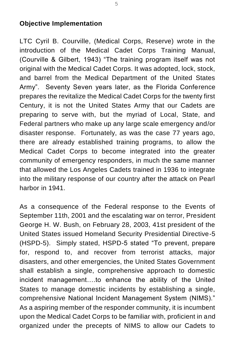#### <span id="page-4-0"></span>**Objective Implementation**

LTC Cyril B. Courville, (Medical Corps, Reserve) wrote in the introduction of the Medical Cadet Corps Training Manual, (Courville & Gilbert, 1943) "The training program itself was not original with the Medical Cadet Corps. It was adopted, lock, stock, and barrel from the Medical Department of the United States Army". Seventy Seven years later, as the Florida Conference prepares the revitalize the Medical Cadet Corps for the twenty first Century, it is not the United States Army that our Cadets are preparing to serve with, but the myriad of Local, State, and Federal partners who make up any large scale emergency and/or disaster response. Fortunately, as was the case 77 years ago, there are already established training programs, to allow the Medical Cadet Corps to become integrated into the greater community of emergency responders, in much the same manner that allowed the Los Angeles Cadets trained in 1936 to integrate into the military response of our country after the attack on Pearl harbor in 1941.

As a consequence of the Federal response to the Events of September 11th, 2001 and the escalating war on terror, President George H. W. Bush, on February 28, 2003, 41st president of the United States issued Homeland Security Presidential Directive-5 (HSPD-5). Simply stated, HSPD-5 stated "To prevent, prepare for, respond to, and recover from terrorist attacks, major disasters, and other emergencies, the United States Government shall establish a single, comprehensive approach to domestic incident management….to enhance the ability of the United States to manage domestic incidents by establishing a single, comprehensive National Incident Management System (NIMS)." As a aspiring member of the responder community, it is incumbent upon the Medical Cadet Corps to be familiar with, proficient in and organized under the precepts of NIMS to allow our Cadets to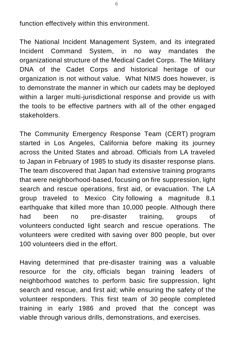function effectively within this environment.

The National Incident Management System, and its integrated Incident Command System, in no way mandates the organizational structure of the Medical Cadet Corps. The Military DNA of the Cadet Corps and historical heritage of our organization is not without value. What NIMS does however, is to demonstrate the manner in which our cadets may be deployed within a larger multi-jurisdictional response and provide us with the tools to be effective partners with all of the other engaged stakeholders.

The Community Emergency Response Team (CERT) program started in Los Angeles, California before making its journey across the United States and abroad. Officials from LA traveled to Japan in February of 1985 to study its disaster response plans. The team discovered that Japan had extensive training programs that were neighborhood-based, focusing on fire suppression, light search and rescue operations, first aid, or evacuation. The LA group traveled to Mexico City following a magnitude 8.1 earthquake that killed more than 10,000 people. Although there had been no pre-disaster training, groups of volunteers conducted light search and rescue operations. The volunteers were credited with saving over 800 people, but over 100 volunteers died in the effort.

Having determined that pre-disaster training was a valuable resource for the city, officials began training leaders of neighborhood watches to perform basic fire suppression, light search and rescue, and first aid; while ensuring the safety of the volunteer responders. This first team of 30 people completed training in early 1986 and proved that the concept was viable through various drills, demonstrations, and exercises.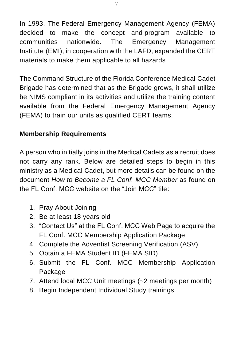In 1993, The Federal Emergency Management Agency (FEMA) decided to make the concept and program available to communities nationwide. The Emergency Management Institute (EMI), in cooperation with the LAFD, expanded the CERT materials to make them applicable to all hazards.

The Command Structure of the Florida Conference Medical Cadet Brigade has determined that as the Brigade grows, it shall utilize be NIMS compliant in its activities and utilize the training content available from the Federal Emergency Management Agency (FEMA) to train our units as qualified CERT teams.

#### <span id="page-6-0"></span>**Membership Requirements**

A person who initially joins in the Medical Cadets as a recruit does not carry any rank. Below are detailed steps to begin in this ministry as a Medical Cadet, but more details can be found on the document *How to Become a FL Conf. MCC Member* as found on the FL Conf. MCC website on the "Join MCC" tile:

- 1. Pray About Joining
- 2. Be at least 18 years old
- 3. "Contact Us" at the FL Conf. MCC Web Page to acquire the FL Conf. MCC Membership Application Package
- 4. Complete the Adventist Screening Verification (ASV)
- 5. Obtain a FEMA Student ID (FEMA SID)
- 6. Submit the FL Conf. MCC Membership Application Package
- 7. Attend local MCC Unit meetings (~2 meetings per month)
- 8. Begin Independent Individual Study trainings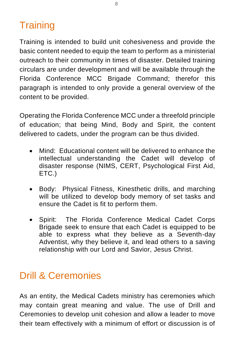# <span id="page-7-0"></span>**Training**

Training is intended to build unit cohesiveness and provide the basic content needed to equip the team to perform as a ministerial outreach to their community in times of disaster. Detailed training circulars are under development and will be available through the Florida Conference MCC Brigade Command; therefor this paragraph is intended to only provide a general overview of the content to be provided.

Operating the Florida Conference MCC under a threefold principle of education; that being Mind, Body and Spirit, the content delivered to cadets, under the program can be thus divided.

- Mind: Educational content will be delivered to enhance the intellectual understanding the Cadet will develop of disaster response (NIMS, CERT, Psychological First Aid, ETC.)
- Body: Physical Fitness, Kinesthetic drills, and marching will be utilized to develop body memory of set tasks and ensure the Cadet is fit to perform them.
- Spirit: The Florida Conference Medical Cadet Corps Brigade seek to ensure that each Cadet is equipped to be able to express what they believe as a Seventh-day Adventist, why they believe it, and lead others to a saving relationship with our Lord and Savior, Jesus Christ.

#### <span id="page-7-1"></span>Drill & Ceremonies

As an entity, the Medical Cadets ministry has ceremonies which may contain great meaning and value. The use of Drill and Ceremonies to develop unit cohesion and allow a leader to move their team effectively with a minimum of effort or discussion is of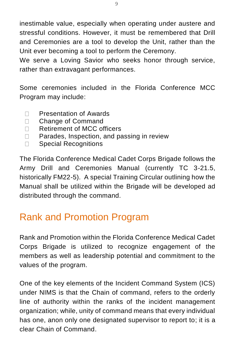inestimable value, especially when operating under austere and stressful conditions. However, it must be remembered that Drill and Ceremonies are a tool to develop the Unit, rather than the Unit ever becoming a tool to perform the Ceremony.

We serve a Loving Savior who seeks honor through service, rather than extravagant performances.

Some ceremonies included in the Florida Conference MCC Program may include:

- Presentation of Awards  $\Box$
- Change of Command  $\Box$
- $\Box$ Retirement of MCC officers
- Parades, Inspection, and passing in review  $\Box$
- Special Recognitions  $\Box$

The Florida Conference Medical Cadet Corps Brigade follows the Army Drill and Ceremonies Manual (currently TC 3-21.5, historically FM22-5). A special Training Circular outlining how the Manual shall be utilized within the Brigade will be developed ad distributed through the command.

# <span id="page-8-0"></span>Rank and Promotion Program

Rank and Promotion within the Florida Conference Medical Cadet Corps Brigade is utilized to recognize engagement of the members as well as leadership potential and commitment to the values of the program.

One of the key elements of the Incident Command System (ICS) under NIMS is that the Chain of command, refers to the orderly line of authority within the ranks of the incident management organization; while, unity of command means that every individual has one, anon only one designated supervisor to report to; it is a clear Chain of Command.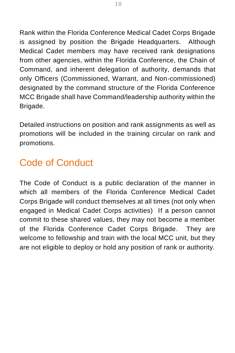Rank within the Florida Conference Medical Cadet Corps Brigade is assigned by position the Brigade Headquarters. Although Medical Cadet members may have received rank designations from other agencies, within the Florida Conference, the Chain of Command, and inherent delegation of authority, demands that only Officers (Commissioned, Warrant, and Non-commissioned) designated by the command structure of the Florida Conference MCC Brigade shall have Command/leadership authority within the Brigade.

Detailed instructions on position and rank assignments as well as promotions will be included in the training circular on rank and promotions.

# <span id="page-9-0"></span>Code of Conduct

The Code of Conduct is a public declaration of the manner in which all members of the Florida Conference Medical Cadet Corps Brigade will conduct themselves at all times (not only when engaged in Medical Cadet Corps activities) If a person cannot commit to these shared values, they may not become a member of the Florida Conference Cadet Corps Brigade. They are welcome to fellowship and train with the local MCC unit, but they are not eligible to deploy or hold any position of rank or authority.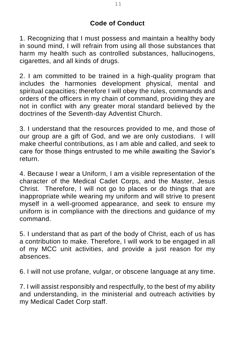#### **Code of Conduct**

1. Recognizing that I must possess and maintain a healthy body in sound mind, I will refrain from using all those substances that harm my health such as controlled substances, hallucinogens, cigarettes, and all kinds of drugs.

2. I am committed to be trained in a high-quality program that includes the harmonies development physical, mental and spiritual capacities; therefore I will obey the rules, commands and orders of the officers in my chain of command, providing they are not in conflict with any greater moral standard believed by the doctrines of the Seventh-day Adventist Church.

3. I understand that the resources provided to me, and those of our group are a gift of God, and we are only custodians. I will make cheerful contributions, as I am able and called, and seek to care for those things entrusted to me while awaiting the Savior's return.

4. Because I wear a Uniform, I am a visible representation of the character of the Medical Cadet Corps, and the Master, Jesus Christ. Therefore, I will not go to places or do things that are inappropriate while wearing my uniform and will strive to present myself in a well-groomed appearance, and seek to ensure my uniform is in compliance with the directions and guidance of my command.

5. I understand that as part of the body of Christ, each of us has a contribution to make. Therefore, I will work to be engaged in all of my MCC unit activities, and provide a just reason for my absences.

6. I will not use profane, vulgar, or obscene language at any time.

7. I will assist responsibly and respectfully, to the best of my ability and understanding, in the ministerial and outreach activities by my Medical Cadet Corp staff.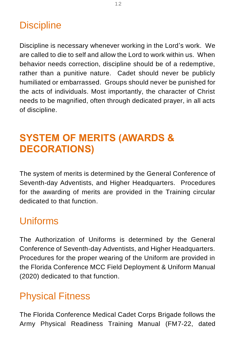## <span id="page-11-0"></span>**Discipline**

Discipline is necessary whenever working in the Lord's work. We are called to die to self and allow the Lord to work within us. When behavior needs correction, discipline should be of a redemptive, rather than a punitive nature. Cadet should never be publicly humiliated or embarrassed. Groups should never be punished for the acts of individuals. Most importantly, the character of Christ needs to be magnified, often through dedicated prayer, in all acts of discipline.

# <span id="page-11-1"></span>**SYSTEM OF MERITS (AWARDS & DECORATIONS)**

The system of merits is determined by the General Conference of Seventh-day Adventists, and Higher Headquarters. Procedures for the awarding of merits are provided in the Training circular dedicated to that function.

## <span id="page-11-2"></span>Uniforms

The Authorization of Uniforms is determined by the General Conference of Seventh-day Adventists, and Higher Headquarters. Procedures for the proper wearing of the Uniform are provided in the Florida Conference MCC Field Deployment & Uniform Manual (2020) dedicated to that function.

## <span id="page-11-3"></span>Physical Fitness

The Florida Conference Medical Cadet Corps Brigade follows the Army Physical Readiness Training Manual (FM7-22, dated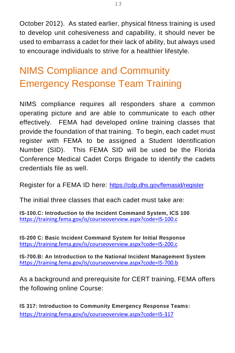October 2012). As stated earlier, physical fitness training is used to develop unit cohesiveness and capability, it should never be used to embarrass a cadet for their lack of ability, but always used to encourage individuals to strive for a healthier lifestyle.

# <span id="page-12-0"></span>NIMS Compliance and Community Emergency Response Team Training

NIMS compliance requires all responders share a common operating picture and are able to communicate to each other effectively. FEMA had developed online training classes that provide the foundation of that training. To begin, each cadet must register with FEMA to be assigned a Student Identification Number (SID). This FEMA SID will be used be the Florida Conference Medical Cadet Corps Brigade to identify the cadets credentials file as well.

Register for a FEMA ID here: <https://cdp.dhs.gov/femasid/register>

The initial three classes that each cadet must take are:

**IS-100.C: Introduction to the Incident Command System, ICS 100** <https://training.fema.gov/is/courseoverview.aspx?code=IS-100.c>

**IS-200 C: Basic Incident Command System for Initial Response** <https://training.fema.gov/is/courseoverview.aspx?code=IS-200.c>

**IS-700.B: An Introduction to the National Incident Management System** <https://training.fema.gov/is/courseoverview.aspx?code=IS-700.b>

As a background and prerequisite for CERT training, FEMA offers the following online Course:

**IS 317: Introduction to Community Emergency Response Teams:** <https://training.fema.gov/is/courseoverview.aspx?code=IS-317>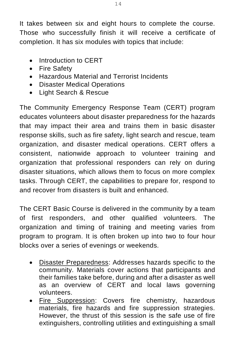It takes between six and eight hours to complete the course. Those who successfully finish it will receive a certificate of completion. It has six modules with topics that include:

- Introduction to CERT
- Fire Safety
- Hazardous Material and Terrorist Incidents
- Disaster Medical Operations
- Light Search & Rescue

The Community Emergency Response Team (CERT) program educates volunteers about disaster preparedness for the hazards that may impact their area and trains them in basic disaster response skills, such as fire safety, light search and rescue, team organization, and disaster medical operations. CERT offers a consistent, nationwide approach to volunteer training and organization that professional responders can rely on during disaster situations, which allows them to focus on more complex tasks. Through CERT, the capabilities to prepare for, respond to and recover from disasters is built and enhanced.

The CERT Basic Course is delivered in the community by a team of first responders, and other qualified volunteers. The organization and timing of training and meeting varies from program to program. It is often broken up into two to four hour blocks over a series of evenings or weekends.

- **Disaster Preparedness:** Addresses hazards specific to the community. Materials cover actions that participants and their families take before, during and after a disaster as well as an overview of CERT and local laws governing volunteers.
- Fire Suppression: Covers fire chemistry, hazardous materials, fire hazards and fire suppression strategies. However, the thrust of this session is the safe use of fire extinguishers, controlling utilities and extinguishing a small